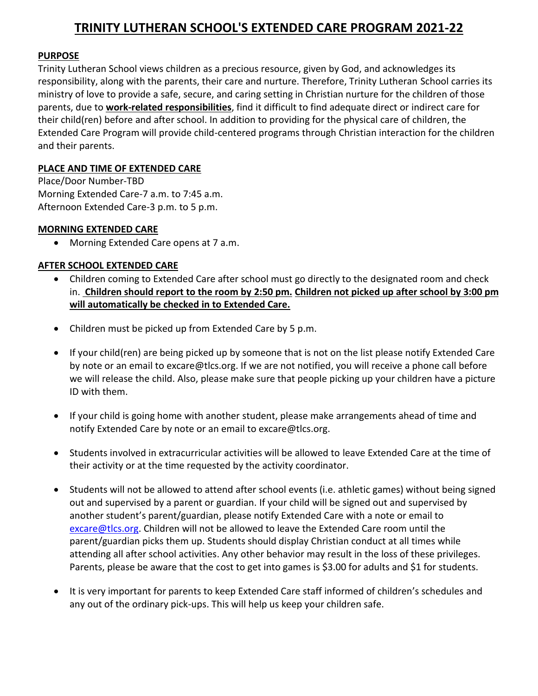# **TRINITY LUTHERAN SCHOOL'S EXTENDED CARE PROGRAM 2021-22**

#### **PURPOSE**

Trinity Lutheran School views children as a precious resource, given by God, and acknowledges its responsibility, along with the parents, their care and nurture. Therefore, Trinity Lutheran School carries its ministry of love to provide a safe, secure, and caring setting in Christian nurture for the children of those parents, due to **work-related responsibilities**, find it difficult to find adequate direct or indirect care for their child(ren) before and after school. In addition to providing for the physical care of children, the Extended Care Program will provide child-centered programs through Christian interaction for the children and their parents.

#### **PLACE AND TIME OF EXTENDED CARE**

Place/Door Number-TBD Morning Extended Care-7 a.m. to 7:45 a.m. Afternoon Extended Care-3 p.m. to 5 p.m.

## **MORNING EXTENDED CARE**

• Morning Extended Care opens at 7 a.m.

## **AFTER SCHOOL EXTENDED CARE**

- Children coming to Extended Care after school must go directly to the designated room and check in. **Children should report to the room by 2:50 pm. Children not picked up after school by 3:00 pm will automatically be checked in to Extended Care.**
- Children must be picked up from Extended Care by 5 p.m.
- If your child(ren) are being picked up by someone that is not on the list please notify Extended Care by note or an email to excare@tlcs.org. If we are not notified, you will receive a phone call before we will release the child. Also, please make sure that people picking up your children have a picture ID with them.
- If your child is going home with another student, please make arrangements ahead of time and notify Extended Care by note or an email to excare@tlcs.org.
- Students involved in extracurricular activities will be allowed to leave Extended Care at the time of their activity or at the time requested by the activity coordinator.
- Students will not be allowed to attend after school events (i.e. athletic games) without being signed out and supervised by a parent or guardian. If your child will be signed out and supervised by another student's parent/guardian, please notify Extended Care with a note or email to [excare@tlcs.org.](mailto:excare@tlcs.org) Children will not be allowed to leave the Extended Care room until the parent/guardian picks them up. Students should display Christian conduct at all times while attending all after school activities. Any other behavior may result in the loss of these privileges. Parents, please be aware that the cost to get into games is \$3.00 for adults and \$1 for students.
- It is very important for parents to keep Extended Care staff informed of children's schedules and any out of the ordinary pick-ups. This will help us keep your children safe.